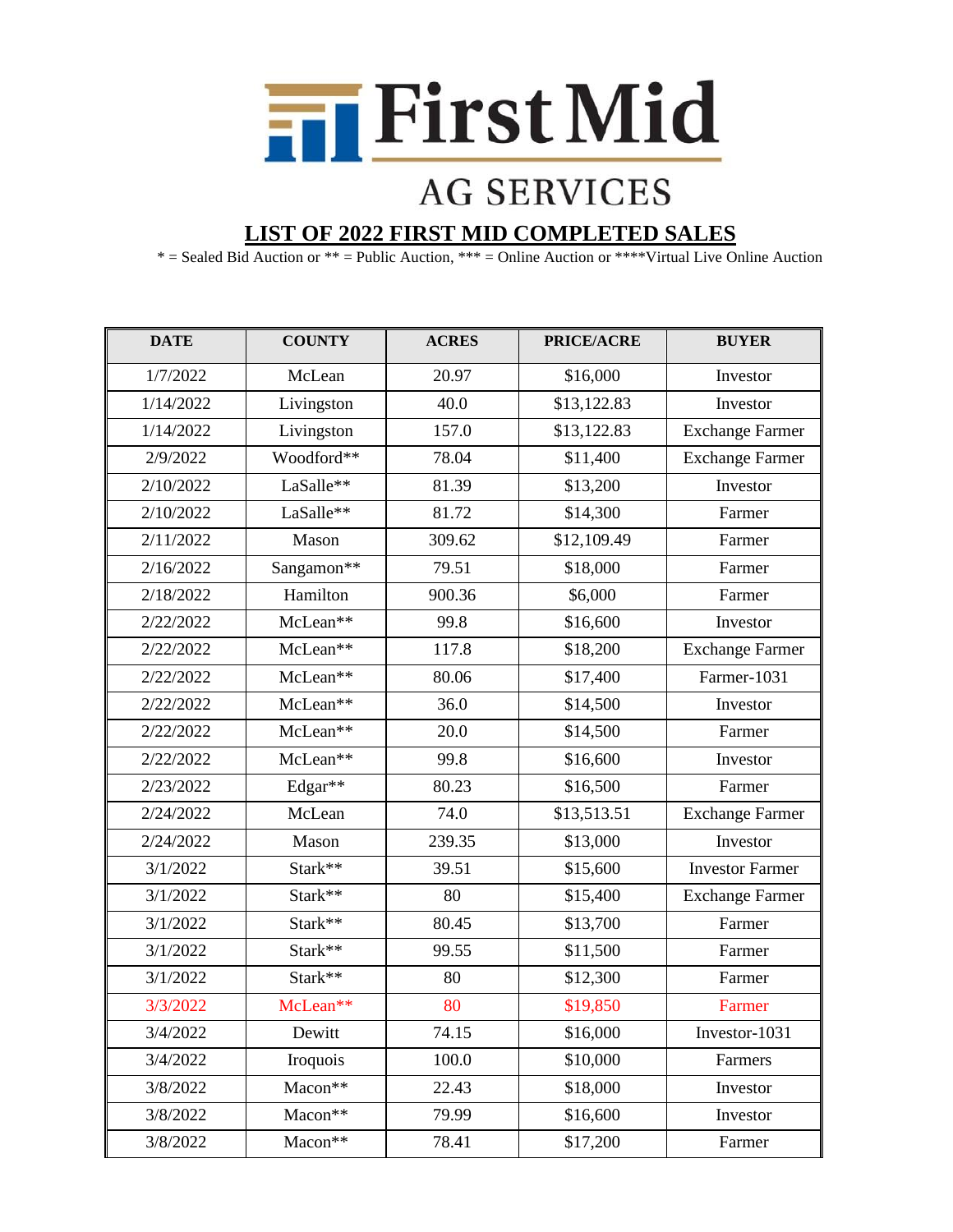

## **AG SERVICES**

## **LIST OF 2022 FIRST MID COMPLETED SALES**

\* = Sealed Bid Auction or \*\* = Public Auction, \*\*\* = Online Auction or \*\*\*\*Virtual Live Online Auction

| <b>DATE</b> | <b>COUNTY</b> | <b>ACRES</b> | PRICE/ACRE  | <b>BUYER</b>           |
|-------------|---------------|--------------|-------------|------------------------|
| 1/7/2022    | McLean        | 20.97        | \$16,000    | Investor               |
| 1/14/2022   | Livingston    | 40.0         | \$13,122.83 | Investor               |
| 1/14/2022   | Livingston    | 157.0        | \$13,122.83 | <b>Exchange Farmer</b> |
| 2/9/2022    | Woodford**    | 78.04        | \$11,400    | Exchange Farmer        |
| 2/10/2022   | LaSalle**     | 81.39        | \$13,200    | Investor               |
| 2/10/2022   | LaSalle**     | 81.72        | \$14,300    | Farmer                 |
| 2/11/2022   | Mason         | 309.62       | \$12,109.49 | Farmer                 |
| 2/16/2022   | Sangamon**    | 79.51        | \$18,000    | Farmer                 |
| 2/18/2022   | Hamilton      | 900.36       | \$6,000     | Farmer                 |
| 2/22/2022   | McLean**      | 99.8         | \$16,600    | Investor               |
| 2/22/2022   | McLean**      | 117.8        | \$18,200    | <b>Exchange Farmer</b> |
| 2/22/2022   | McLean**      | 80.06        | \$17,400    | Farmer-1031            |
| 2/22/2022   | McLean**      | 36.0         | \$14,500    | Investor               |
| 2/22/2022   | McLean**      | 20.0         | \$14,500    | Farmer                 |
| 2/22/2022   | McLean**      | 99.8         | \$16,600    | Investor               |
| 2/23/2022   | Edgar**       | 80.23        | \$16,500    | Farmer                 |
| 2/24/2022   | McLean        | 74.0         | \$13,513.51 | <b>Exchange Farmer</b> |
| 2/24/2022   | Mason         | 239.35       | \$13,000    | Investor               |
| 3/1/2022    | Stark**       | 39.51        | \$15,600    | <b>Investor Farmer</b> |
| 3/1/2022    | Stark**       | 80           | \$15,400    | <b>Exchange Farmer</b> |
| 3/1/2022    | Stark**       | 80.45        | \$13,700    | Farmer                 |
| 3/1/2022    | Stark**       | 99.55        | \$11,500    | Farmer                 |
| 3/1/2022    | Stark**       | 80           | \$12,300    | Farmer                 |
| 3/3/2022    | McLean**      | 80           | \$19,850    | Farmer                 |
| 3/4/2022    | Dewitt        | 74.15        | \$16,000    | Investor-1031          |
| 3/4/2022    | Iroquois      | 100.0        | \$10,000    | Farmers                |
| 3/8/2022    | Macon**       | 22.43        | \$18,000    | Investor               |
| 3/8/2022    | Macon**       | 79.99        | \$16,600    | Investor               |
| 3/8/2022    | Macon**       | 78.41        | \$17,200    | Farmer                 |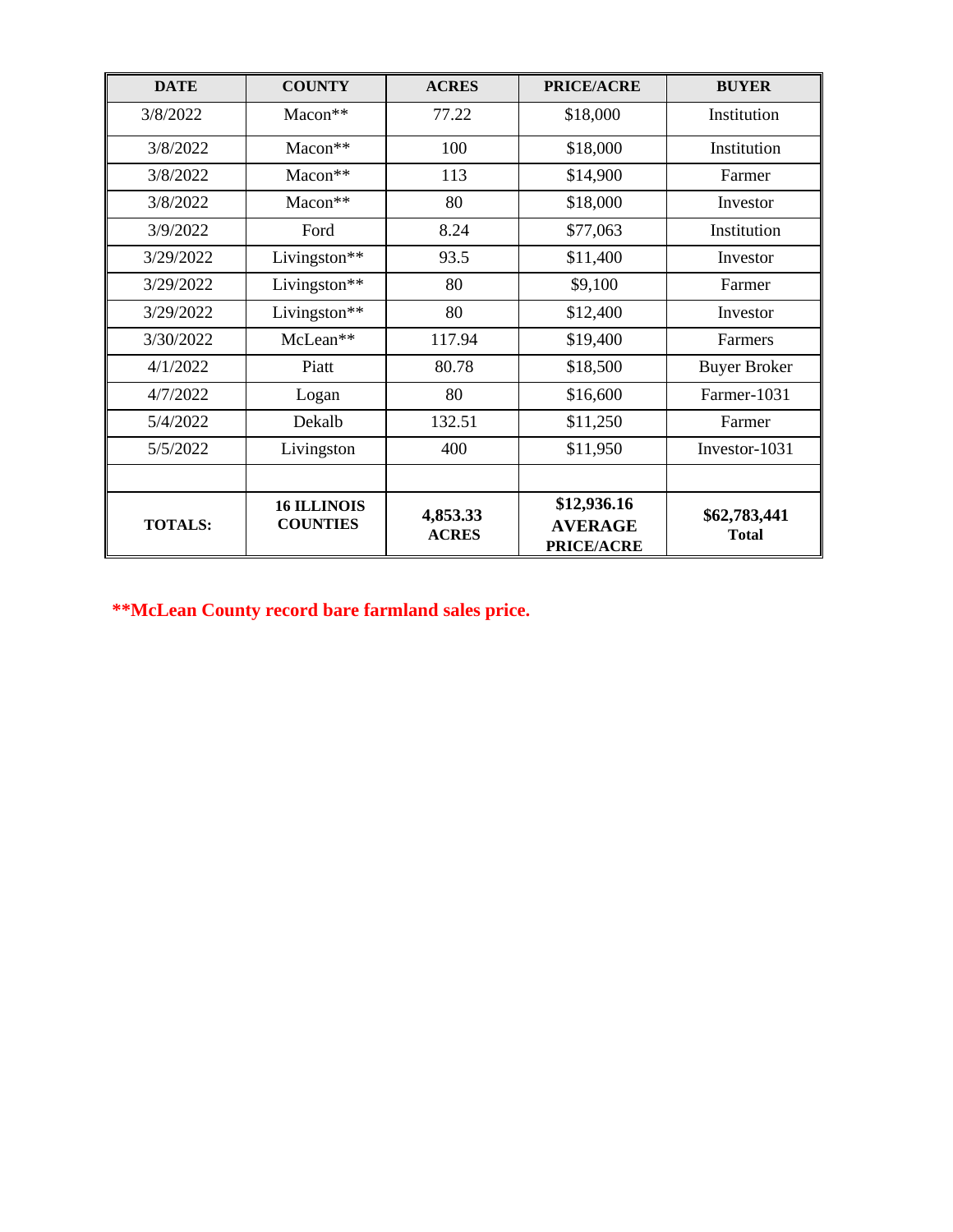| <b>DATE</b>    | <b>COUNTY</b>                         | <b>ACRES</b>             | <b>PRICE/ACRE</b>                                  | <b>BUYER</b>                 |
|----------------|---------------------------------------|--------------------------|----------------------------------------------------|------------------------------|
| 3/8/2022       | Macon**                               | 77.22                    | \$18,000                                           | Institution                  |
| 3/8/2022       | Macon**                               | 100                      | \$18,000                                           | Institution                  |
| 3/8/2022       | Macon**                               | 113                      | \$14,900                                           | Farmer                       |
| 3/8/2022       | $Macon**$                             | 80                       | \$18,000                                           | Investor                     |
| 3/9/2022       | Ford                                  | 8.24                     | \$77,063                                           | Institution                  |
| 3/29/2022      | Livingston**                          | 93.5                     | \$11,400                                           | Investor                     |
| 3/29/2022      | Livingston**                          | 80                       | \$9,100                                            | Farmer                       |
| 3/29/2022      | Livingston**                          | 80                       | \$12,400                                           | Investor                     |
| 3/30/2022      | McLean**                              | 117.94                   | \$19,400                                           | Farmers                      |
| 4/1/2022       | Piatt                                 | 80.78                    | \$18,500                                           | <b>Buyer Broker</b>          |
| 4/7/2022       | Logan                                 | 80                       | \$16,600                                           | Farmer-1031                  |
| 5/4/2022       | Dekalb                                | 132.51                   | \$11,250                                           | Farmer                       |
| 5/5/2022       | Livingston                            | 400                      | \$11,950                                           | Investor-1031                |
|                |                                       |                          |                                                    |                              |
| <b>TOTALS:</b> | <b>16 ILLINOIS</b><br><b>COUNTIES</b> | 4,853.33<br><b>ACRES</b> | \$12,936.16<br><b>AVERAGE</b><br><b>PRICE/ACRE</b> | \$62,783,441<br><b>Total</b> |

**\*\*McLean County record bare farmland sales price.**